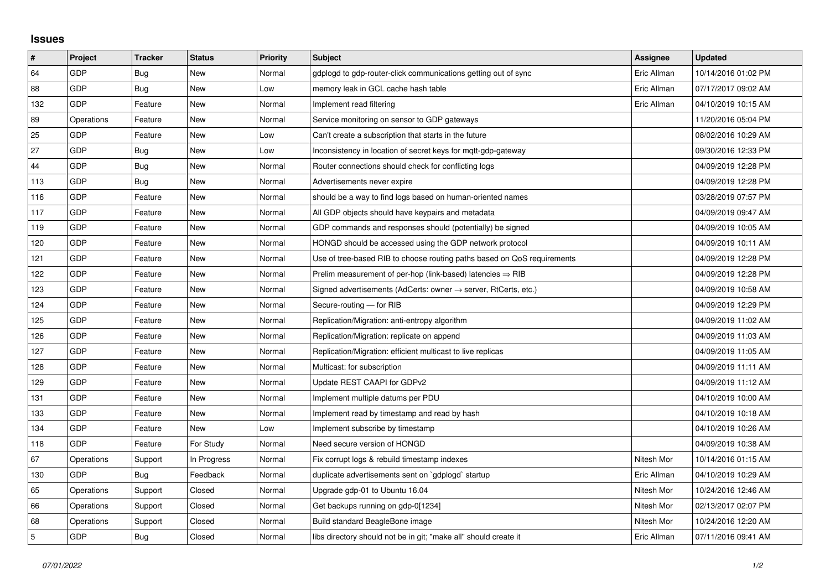## **Issues**

| $\vert$ #      | Project    | <b>Tracker</b> | <b>Status</b> | <b>Priority</b> | <b>Subject</b>                                                             | <b>Assignee</b> | <b>Updated</b>      |
|----------------|------------|----------------|---------------|-----------------|----------------------------------------------------------------------------|-----------------|---------------------|
| 64             | GDP        | Bug            | <b>New</b>    | Normal          | gdplogd to gdp-router-click communications getting out of sync             | Eric Allman     | 10/14/2016 01:02 PM |
| 88             | GDP        | Bug            | New           | Low             | memory leak in GCL cache hash table                                        | Eric Allman     | 07/17/2017 09:02 AM |
| 132            | GDP        | Feature        | <b>New</b>    | Normal          | Implement read filtering                                                   | Eric Allman     | 04/10/2019 10:15 AM |
| 89             | Operations | Feature        | New           | Normal          | Service monitoring on sensor to GDP gateways                               |                 | 11/20/2016 05:04 PM |
| 25             | GDP        | Feature        | New           | Low             | Can't create a subscription that starts in the future                      |                 | 08/02/2016 10:29 AM |
| 27             | GDP        | <b>Bug</b>     | New           | Low             | Inconsistency in location of secret keys for mgtt-gdp-gateway              |                 | 09/30/2016 12:33 PM |
| 44             | GDP        | Bug            | New           | Normal          | Router connections should check for conflicting logs                       |                 | 04/09/2019 12:28 PM |
| 113            | GDP        | <b>Bug</b>     | New           | Normal          | Advertisements never expire                                                |                 | 04/09/2019 12:28 PM |
| 116            | GDP        | Feature        | New           | Normal          | should be a way to find logs based on human-oriented names                 |                 | 03/28/2019 07:57 PM |
| 117            | GDP        | Feature        | New           | Normal          | All GDP objects should have keypairs and metadata                          |                 | 04/09/2019 09:47 AM |
| 119            | GDP        | Feature        | New           | Normal          | GDP commands and responses should (potentially) be signed                  |                 | 04/09/2019 10:05 AM |
| 120            | GDP        | Feature        | New           | Normal          | HONGD should be accessed using the GDP network protocol                    |                 | 04/09/2019 10:11 AM |
| 121            | GDP        | Feature        | New           | Normal          | Use of tree-based RIB to choose routing paths based on QoS requirements    |                 | 04/09/2019 12:28 PM |
| 122            | GDP        | Feature        | New           | Normal          | Prelim measurement of per-hop (link-based) latencies $\Rightarrow$ RIB     |                 | 04/09/2019 12:28 PM |
| 123            | GDP        | Feature        | New           | Normal          | Signed advertisements (AdCerts: owner $\rightarrow$ server, RtCerts, etc.) |                 | 04/09/2019 10:58 AM |
| 124            | GDP        | Feature        | New           | Normal          | Secure-routing - for RIB                                                   |                 | 04/09/2019 12:29 PM |
| 125            | GDP        | Feature        | New           | Normal          | Replication/Migration: anti-entropy algorithm                              |                 | 04/09/2019 11:02 AM |
| 126            | GDP        | Feature        | <b>New</b>    | Normal          | Replication/Migration: replicate on append                                 |                 | 04/09/2019 11:03 AM |
| 127            | <b>GDP</b> | Feature        | New           | Normal          | Replication/Migration: efficient multicast to live replicas                |                 | 04/09/2019 11:05 AM |
| 128            | GDP        | Feature        | New           | Normal          | Multicast: for subscription                                                |                 | 04/09/2019 11:11 AM |
| 129            | GDP        | Feature        | New           | Normal          | Update REST CAAPI for GDPv2                                                |                 | 04/09/2019 11:12 AM |
| 131            | GDP        | Feature        | New           | Normal          | Implement multiple datums per PDU                                          |                 | 04/10/2019 10:00 AM |
| 133            | GDP        | Feature        | <b>New</b>    | Normal          | Implement read by timestamp and read by hash                               |                 | 04/10/2019 10:18 AM |
| 134            | GDP        | Feature        | New           | Low             | Implement subscribe by timestamp                                           |                 | 04/10/2019 10:26 AM |
| 118            | GDP        | Feature        | For Study     | Normal          | Need secure version of HONGD                                               |                 | 04/09/2019 10:38 AM |
| 67             | Operations | Support        | In Progress   | Normal          | Fix corrupt logs & rebuild timestamp indexes                               | Nitesh Mor      | 10/14/2016 01:15 AM |
| 130            | GDP        | Bug            | Feedback      | Normal          | duplicate advertisements sent on `gdplogd` startup                         | Eric Allman     | 04/10/2019 10:29 AM |
| 65             | Operations | Support        | Closed        | Normal          | Upgrade gdp-01 to Ubuntu 16.04                                             | Nitesh Mor      | 10/24/2016 12:46 AM |
| 66             | Operations | Support        | Closed        | Normal          | Get backups running on gdp-0[1234]                                         | Nitesh Mor      | 02/13/2017 02:07 PM |
| 68             | Operations | Support        | Closed        | Normal          | Build standard BeagleBone image                                            | Nitesh Mor      | 10/24/2016 12:20 AM |
| $\overline{5}$ | GDP        | Bug            | Closed        | Normal          | libs directory should not be in git; "make all" should create it           | Eric Allman     | 07/11/2016 09:41 AM |